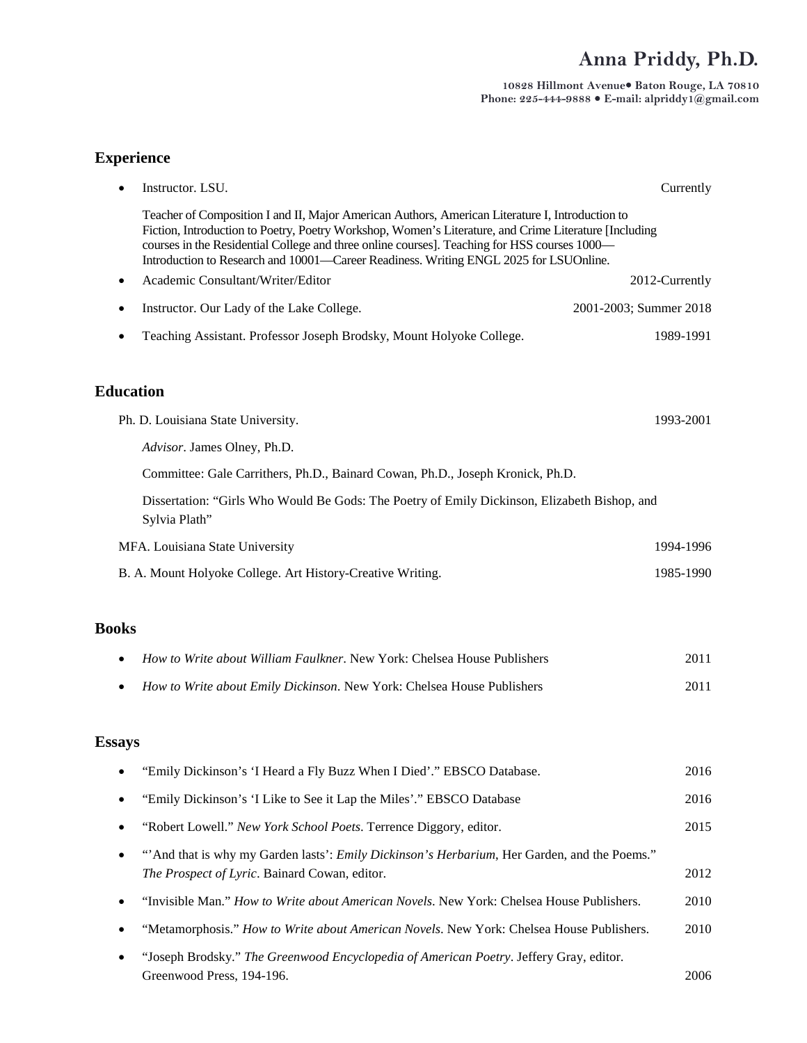## **Anna Priddy, Ph.D.**

**10828 Hillmont Avenue Baton Rouge, LA 70810 Phone: 225-444-9888 E-mail: alpriddy1@gmail.com**

| <b>Experience</b> |                                                                                                                                                                                                                                                                                                                                                                                                   |                        |  |
|-------------------|---------------------------------------------------------------------------------------------------------------------------------------------------------------------------------------------------------------------------------------------------------------------------------------------------------------------------------------------------------------------------------------------------|------------------------|--|
|                   | Instructor. LSU.                                                                                                                                                                                                                                                                                                                                                                                  | Currently              |  |
|                   | Teacher of Composition I and II, Major American Authors, American Literature I, Introduction to<br>Fiction, Introduction to Poetry, Poetry Workshop, Women's Literature, and Crime Literature [Including<br>courses in the Residential College and three online courses]. Teaching for HSS courses 1000-<br>Introduction to Research and 10001—Career Readiness. Writing ENGL 2025 for LSUOnline. |                        |  |
|                   | Academic Consultant/Writer/Editor                                                                                                                                                                                                                                                                                                                                                                 | 2012-Currently         |  |
|                   | Instructor. Our Lady of the Lake College.                                                                                                                                                                                                                                                                                                                                                         | 2001-2003; Summer 2018 |  |
|                   | Teaching Assistant. Professor Joseph Brodsky, Mount Holyoke College.                                                                                                                                                                                                                                                                                                                              | 1989-1991              |  |
| <b>Education</b>  |                                                                                                                                                                                                                                                                                                                                                                                                   |                        |  |
|                   | Ph. D. Louisiana State University.                                                                                                                                                                                                                                                                                                                                                                | 1993-2001              |  |
|                   | Advisor. James Olney, Ph.D.                                                                                                                                                                                                                                                                                                                                                                       |                        |  |
|                   | Committee: Gale Carrithers, Ph.D., Bainard Cowan, Ph.D., Joseph Kronick, Ph.D.                                                                                                                                                                                                                                                                                                                    |                        |  |
|                   | Dissertation: "Girls Who Would Be Gods: The Poetry of Emily Dickinson, Elizabeth Bishop, and<br>Sylvia Plath"                                                                                                                                                                                                                                                                                     |                        |  |
|                   | MFA. Louisiana State University                                                                                                                                                                                                                                                                                                                                                                   | 1994-1996              |  |
|                   | B. A. Mount Holyoke College. Art History-Creative Writing.                                                                                                                                                                                                                                                                                                                                        | 1985-1990              |  |
| <b>Books</b>      |                                                                                                                                                                                                                                                                                                                                                                                                   |                        |  |
|                   | <i>How to Write about William Faulkner.</i> New York: Chelsea House Publishers                                                                                                                                                                                                                                                                                                                    | 2011                   |  |
|                   | How to Write about Emily Dickinson. New York: Chelsea House Publishers                                                                                                                                                                                                                                                                                                                            | 2011                   |  |
| <b>Essays</b>     |                                                                                                                                                                                                                                                                                                                                                                                                   |                        |  |
|                   | "Emily Dickinson's 'I Heard a Fly Buzz When I Died'." EBSCO Database.                                                                                                                                                                                                                                                                                                                             | 2016                   |  |
| $\bullet$         | "Emily Dickinson's 'I Like to See it Lap the Miles'." EBSCO Database                                                                                                                                                                                                                                                                                                                              | 2016                   |  |
|                   | "Robert Lowell." New York School Poets. Terrence Diggory, editor.                                                                                                                                                                                                                                                                                                                                 | 2015                   |  |
|                   | "And that is why my Garden lasts': <i>Emily Dickinson's Herbarium</i> , Her Garden, and the Poems."<br>The Prospect of Lyric. Bainard Cowan, editor.                                                                                                                                                                                                                                              | 2012                   |  |
|                   | "Invisible Man." How to Write about American Novels. New York: Chelsea House Publishers.                                                                                                                                                                                                                                                                                                          | 2010                   |  |
|                   | "Metamorphosis." How to Write about American Novels. New York: Chelsea House Publishers.                                                                                                                                                                                                                                                                                                          | 2010                   |  |
|                   | "Joseph Brodsky." The Greenwood Encyclopedia of American Poetry. Jeffery Gray, editor.                                                                                                                                                                                                                                                                                                            |                        |  |

Greenwood Press, 194-196. 2006